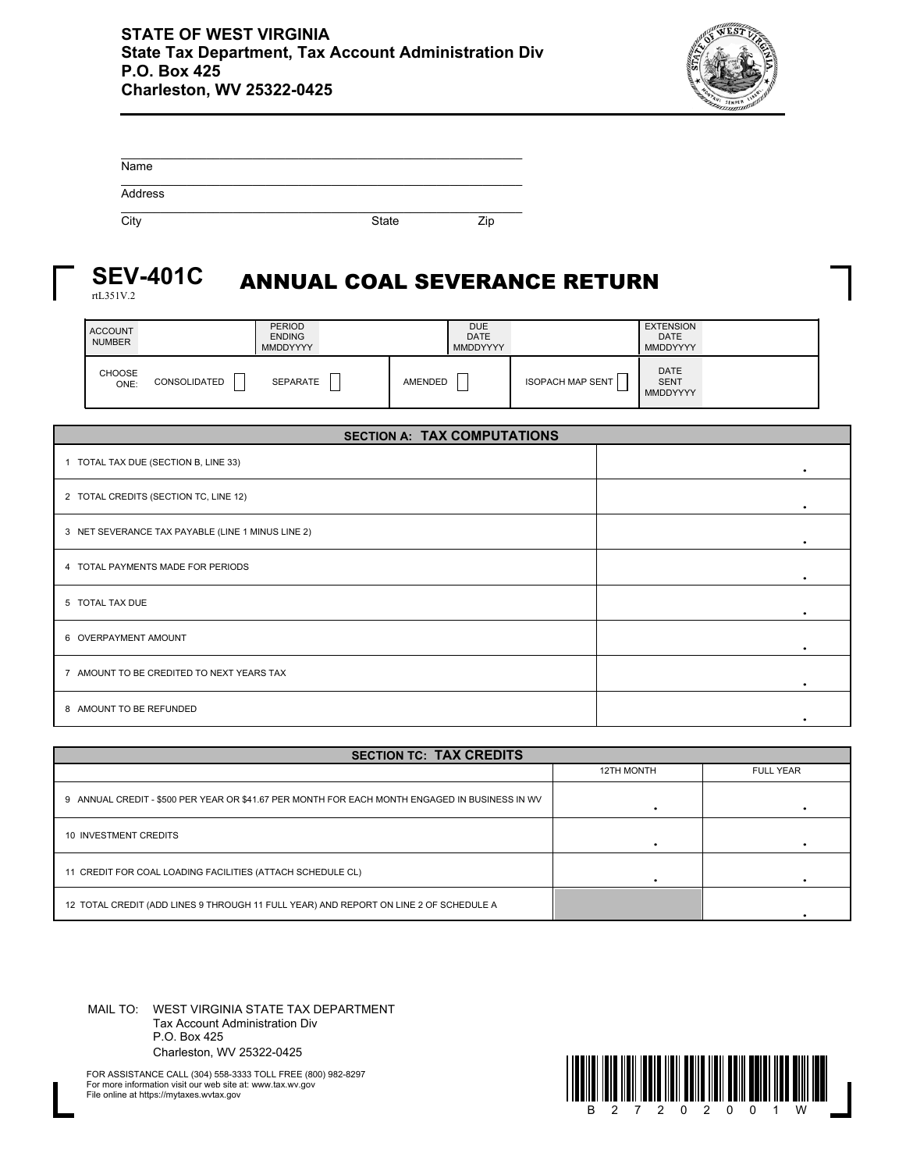

| Name    |              |     |
|---------|--------------|-----|
| Address |              |     |
| City    | <b>State</b> | Zip |

## ANNUAL COAL SEVERANCE RETURN **SEV-401C**

rtL351V.2

| <b>ACCOUNT</b><br><b>NUMBER</b> |                     | <b>PERIOD</b><br><b>ENDING</b><br><b>MMDDYYYY</b> |         | <b>DUE</b><br><b>DATE</b><br><b>MMDDYYYY</b> |                               | <b>EXTENSION</b><br><b>DATE</b><br><b>MMDDYYYY</b> |  |
|---------------------------------|---------------------|---------------------------------------------------|---------|----------------------------------------------|-------------------------------|----------------------------------------------------|--|
| CHOOSE<br>ONE:                  | <b>CONSOLIDATED</b> | <b>SEPARATE</b>                                   | AMENDED | —<br>_                                       | --<br><b>ISOPACH MAP SENT</b> | <b>DATE</b><br><b>SENT</b><br>MMDDYYYY             |  |

| <b>SECTION A: TAX COMPUTATIONS</b>                |   |  |  |  |  |
|---------------------------------------------------|---|--|--|--|--|
| 1 TOTAL TAX DUE (SECTION B, LINE 33)              | ٠ |  |  |  |  |
| 2 TOTAL CREDITS (SECTION TC, LINE 12)             |   |  |  |  |  |
| 3 NET SEVERANCE TAX PAYABLE (LINE 1 MINUS LINE 2) |   |  |  |  |  |
| 4 TOTAL PAYMENTS MADE FOR PERIODS                 |   |  |  |  |  |
| 5 TOTAL TAX DUE                                   |   |  |  |  |  |
| 6 OVERPAYMENT AMOUNT                              |   |  |  |  |  |
| 7 AMOUNT TO BE CREDITED TO NEXT YEARS TAX         |   |  |  |  |  |
| 8 AMOUNT TO BE REFUNDED                           |   |  |  |  |  |

| <b>SECTION TC: TAX CREDITS</b>                                                                 |            |                  |  |  |  |  |
|------------------------------------------------------------------------------------------------|------------|------------------|--|--|--|--|
|                                                                                                | 12TH MONTH | <b>FULL YEAR</b> |  |  |  |  |
| 9 ANNUAL CREDIT - \$500 PER YEAR OR \$41.67 PER MONTH FOR EACH MONTH ENGAGED IN BUSINESS IN WV |            |                  |  |  |  |  |
| 10 INVESTMENT CREDITS                                                                          |            |                  |  |  |  |  |
| 11 CREDIT FOR COAL LOADING FACILITIES (ATTACH SCHEDULE CL)                                     |            |                  |  |  |  |  |
| 12 TOTAL CREDIT (ADD LINES 9 THROUGH 11 FULL YEAR) AND REPORT ON LINE 2 OF SCHEDULE A          |            |                  |  |  |  |  |

MAIL TO: WEST VIRGINIA STATE TAX DEPARTMENT Tax Account Administration Div P.O. Box 425 Charleston, WV 25322-0425



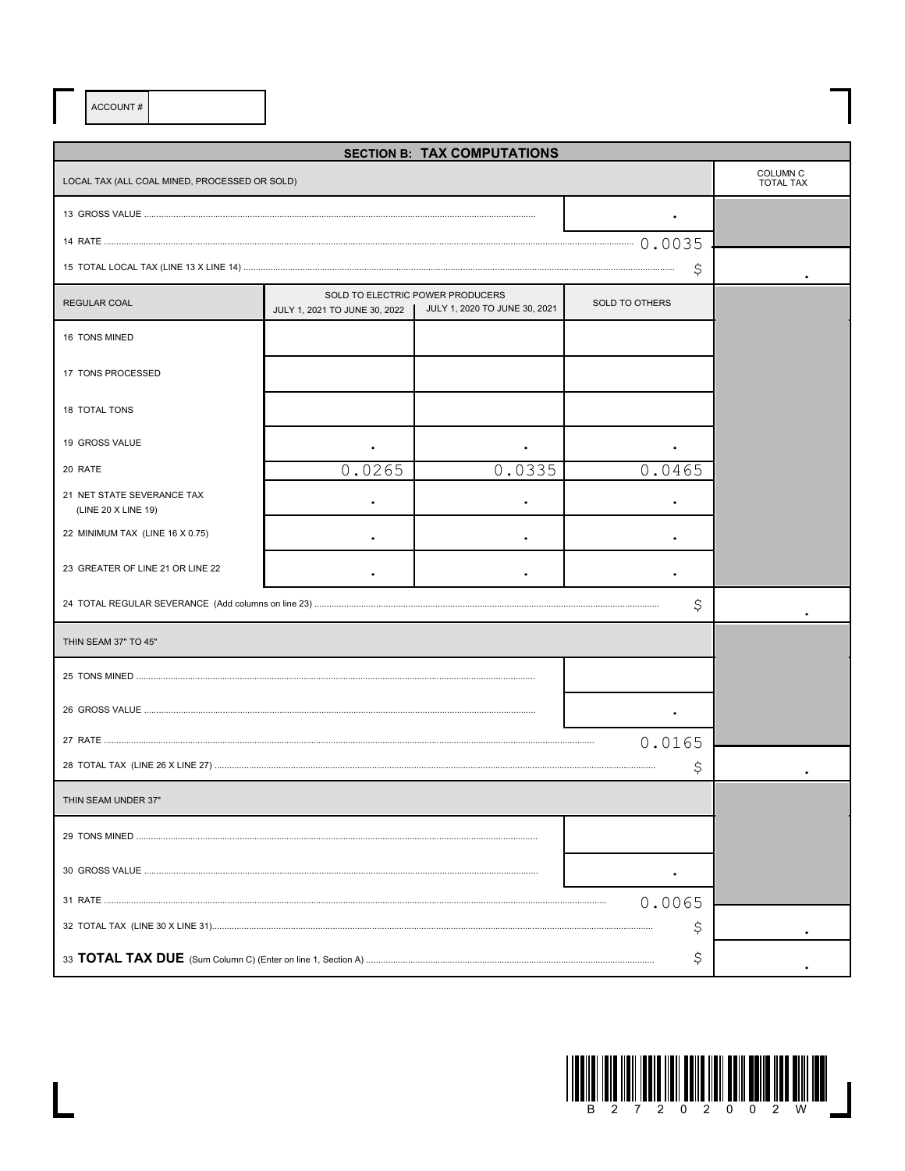ACCOUNT#

 $\overline{\mathsf{L}}$ 

| <b>SECTION B: TAX COMPUTATIONS</b>                |                                         |                                                                   |                       |  |  |  |
|---------------------------------------------------|-----------------------------------------|-------------------------------------------------------------------|-----------------------|--|--|--|
| LOCAL TAX (ALL COAL MINED, PROCESSED OR SOLD)     | COLUMN <sub>C</sub><br><b>TOTAL TAX</b> |                                                                   |                       |  |  |  |
|                                                   |                                         |                                                                   |                       |  |  |  |
|                                                   |                                         |                                                                   |                       |  |  |  |
|                                                   |                                         |                                                                   | \$                    |  |  |  |
| <b>REGULAR COAL</b>                               | JULY 1, 2021 TO JUNE 30, 2022           | SOLD TO ELECTRIC POWER PRODUCERS<br>JULY 1, 2020 TO JUNE 30, 2021 | <b>SOLD TO OTHERS</b> |  |  |  |
| 16 TONS MINED                                     |                                         |                                                                   |                       |  |  |  |
| 17 TONS PROCESSED                                 |                                         |                                                                   |                       |  |  |  |
| 18 TOTAL TONS                                     |                                         |                                                                   |                       |  |  |  |
| 19 GROSS VALUE                                    |                                         |                                                                   |                       |  |  |  |
| 20 RATE                                           | 0.0265                                  | 0.0335                                                            | 0.0465                |  |  |  |
| 21 NET STATE SEVERANCE TAX<br>(LINE 20 X LINE 19) |                                         |                                                                   |                       |  |  |  |
| 22 MINIMUM TAX (LINE 16 X 0.75)                   |                                         |                                                                   |                       |  |  |  |
| 23 GREATER OF LINE 21 OR LINE 22                  |                                         |                                                                   |                       |  |  |  |
|                                                   |                                         |                                                                   | \$                    |  |  |  |
| THIN SEAM 37" TO 45"                              |                                         |                                                                   |                       |  |  |  |
|                                                   |                                         |                                                                   |                       |  |  |  |
|                                                   |                                         |                                                                   |                       |  |  |  |
|                                                   |                                         |                                                                   | 0.0165                |  |  |  |
|                                                   |                                         |                                                                   | Ş                     |  |  |  |
| THIN SEAM UNDER 37"                               |                                         |                                                                   |                       |  |  |  |
|                                                   |                                         |                                                                   |                       |  |  |  |
|                                                   |                                         |                                                                   |                       |  |  |  |
|                                                   |                                         |                                                                   |                       |  |  |  |
|                                                   |                                         |                                                                   |                       |  |  |  |
|                                                   |                                         |                                                                   |                       |  |  |  |